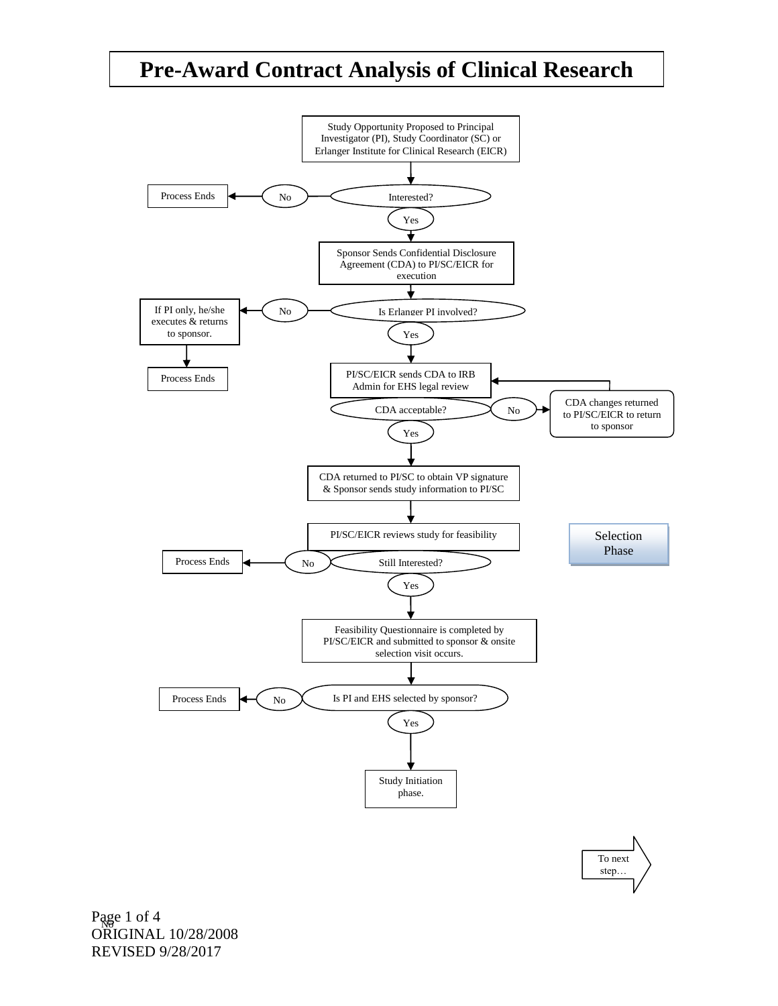## **Pre-Award Contract Analysis of Clinical Research**

**Study** 



To next step…

Page 1 of 4 ORIGINAL 10/28/2008 REVISED 9/28/2017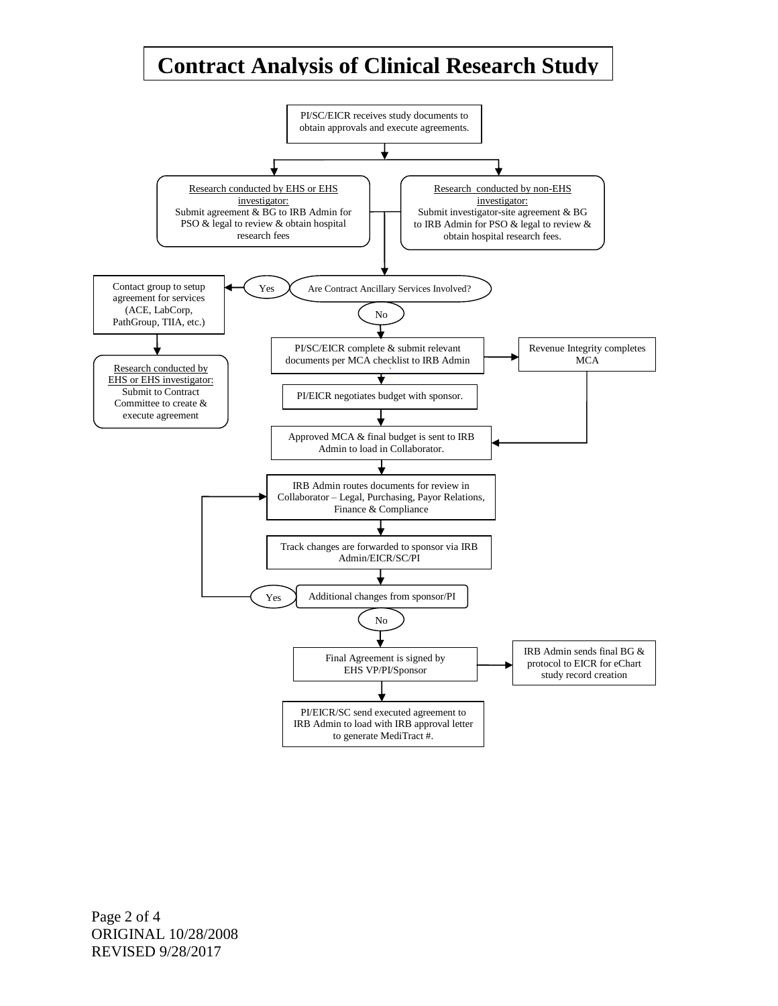## **Contract Analysis of Clinical Research Study**

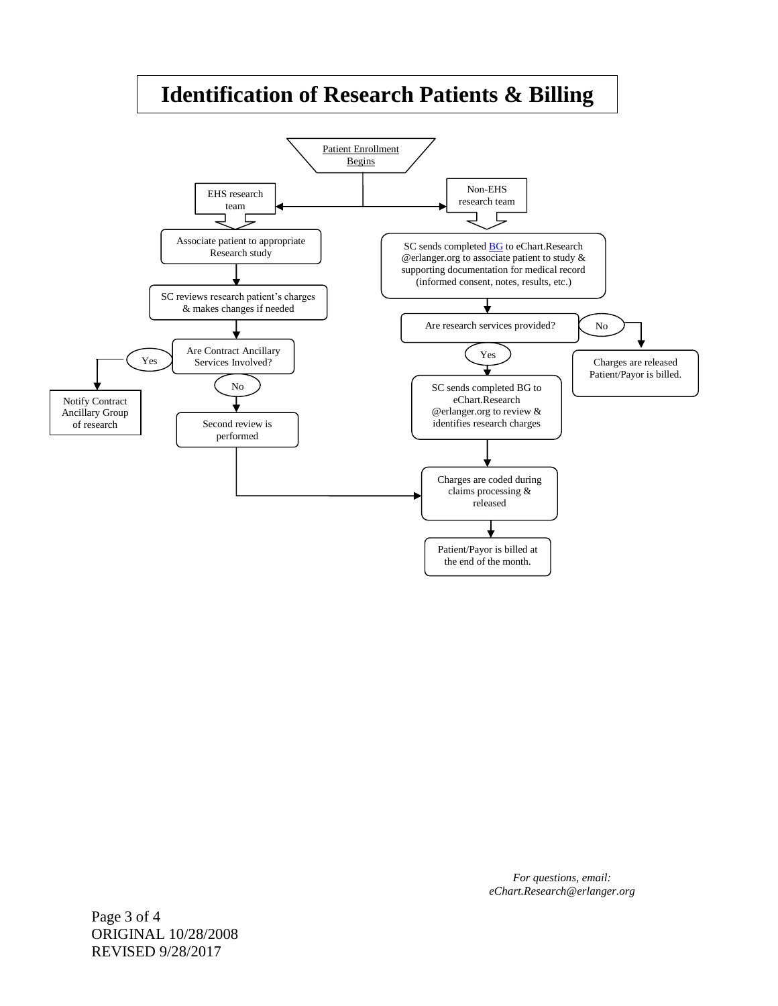## **Identification of Research Patients & Billing**



*For questions, email: eChart.Research@erlanger.org*